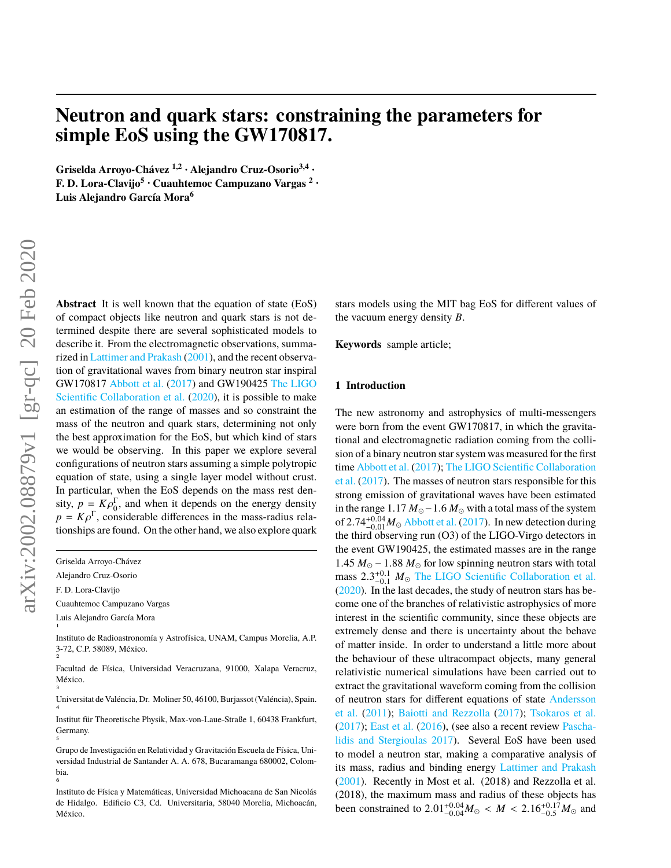# **Neutron and quark stars: constraining the parameters for simple EoS using the GW170817.**

**Griselda Arroyo-Chávez 1,2 • Alejandro Cruz-Osorio3,4 • F. D. Lora-Clavijo<sup>5</sup> • Cuauhtemoc Campuzano Vargas <sup>2</sup> • Luis Alejandro García Mora<sup>6</sup>**

**Abstract** It is well known that the equation of state (EoS) of compact objects like neutron and quark stars is not determined despite there are several sophisticated models to describe it. From the electromagnetic observations, summarized in [Lattimer and Prakash](#page-6-0) [\(2001\)](#page-6-0), and the recent observation of gravitational waves from binary neutron star inspiral GW170817 [Abbott et al.](#page-6-1) [\(2017\)](#page-6-1) and GW190425 [The LIGO](#page-6-2) [Scientific Collaboration et al.](#page-6-2) [\(2020\)](#page-6-2), it is possible to make an estimation of the range of masses and so constraint the mass of the neutron and quark stars, determining not only the best approximation for the EoS, but which kind of stars we would be observing. In this paper we explore several configurations of neutron stars assuming a simple polytropic equation of state, using a single layer model without crust. In particular, when the EoS depends on the mass rest density,  $p = K \rho_0^{\Gamma}$ , and when it depends on the energy density<br> $p = K \rho^{\Gamma}$ , considerable differences in the mass-radius rela $p = K \rho^{\Gamma}$ , considerable differences in the mass-radius rela-<br>tionships are found. On the other hand, we also explore quark tionships are found. On the other hand, we also explore quark

Griselda Arroyo-Chávez

Alejandro Cruz-Osorio

F. D. Lora-Clavijo

Cuauhtemoc Campuzano Vargas

Luis Alejandro García Mora 1

Instituto de Radioastronomía y Astrofísica, UNAM, Campus Morelia, A.P. 3-72, C.P. 58089, México. 2

Facultad de Física, Universidad Veracruzana, 91000, Xalapa Veracruz, México. 3

Universitat de Valéncia, Dr. Moliner 50, 46100, Burjassot (Valéncia), Spain. 4

Institut für Theoretische Physik, Max-von-Laue-Straße 1, 60438 Frankfurt, Germany. 5

Grupo de Investigación en Relatividad y Gravitación Escuela de Física, Universidad Industrial de Santander A. A. 678, Bucaramanga 680002, Colombia. 6

Instituto de Física y Matemáticas, Universidad Michoacana de San Nicolás de Hidalgo. Edificio C3, Cd. Universitaria, 58040 Morelia, Michoacán, México.

stars models using the MIT bag EoS for different values of the vacuum energy density *B*.

**Keywords** sample article;

#### **1 Introduction**

The new astronomy and astrophysics of multi-messengers were born from the event GW170817, in which the gravitational and electromagnetic radiation coming from the collision of a binary neutron star system was measured for the first time [Abbott et al.](#page-6-1) [\(2017\)](#page-6-1); [The LIGO Scientific Collaboration](#page-6-3) [et al.](#page-6-3) [\(2017\)](#page-6-3). The masses of neutron stars responsible for this strong emission of gravitational waves have been estimated in the range  $1.17 M_{\odot} - 1.6 M_{\odot}$  with a total mass of the system of  $2.74^{+0.04}_{-0.01} M_{\odot}$  [Abbott et al.](#page-6-1) [\(2017\)](#page-6-1). In new detection during<br>the third observing run (O3) of the LIGO-Virgo detectors in the third observing run (O3) of the LIGO-Virgo detectors in the event GW190425, the estimated masses are in the range 1.45  $M_{\odot}$  − 1.88  $M_{\odot}$  for low spinning neutron stars with total mass  $2.3^{+0.1}_{-0.1}$   $M_{\odot}$  [The LIGO Scientific Collaboration et al.](#page-6-2)<br>(2020) In the last decades the study of neutron stars has be-[\(2020\)](#page-6-2). In the last decades, the study of neutron stars has become one of the branches of relativistic astrophysics of more interest in the scientific community, since these objects are extremely dense and there is uncertainty about the behave of matter inside. In order to understand a little more about the behaviour of these ultracompact objects, many general relativistic numerical simulations have been carried out to extract the gravitational waveform coming from the collision of neutron stars for different equations of state [Andersson](#page-6-4) [et al.](#page-6-4) [\(2011\)](#page-6-4); [Baiotti and Rezzolla](#page-6-5) [\(2017\)](#page-6-5); [Tsokaros et al.](#page-6-6) [\(2017\)](#page-6-6); [East et al.](#page-6-7) [\(2016\)](#page-6-7), (see also a recent review [Pascha](#page-6-8)[lidis and Stergioulas](#page-6-8) [2017\)](#page-6-8). Several EoS have been used to model a neutron star, making a comparative analysis of its mass, radius and binding energy [Lattimer and Prakash](#page-6-0) [\(2001\)](#page-6-0). Recently in Most et al. (2018) and Rezzolla et al. (2018), the maximum mass and radius of these objects has been constrained to  $2.01^{+0.04}_{-0.04}M_{\odot} < M < 2.16^{+0.17}_{-0.5}M_{\odot}$  and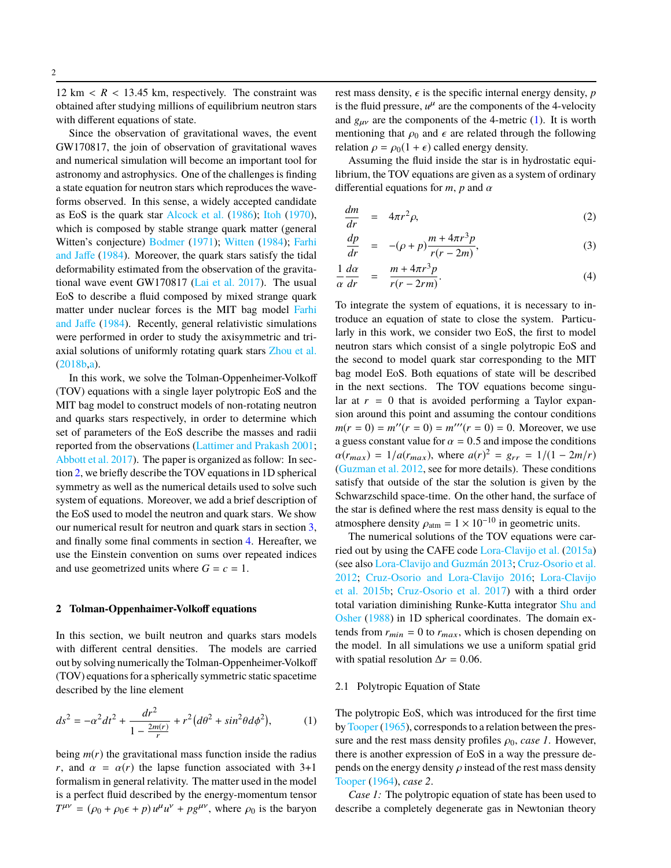12 km  $\langle R \rangle$  = 13.45 km, respectively. The constraint was obtained after studying millions of equilibrium neutron stars with different equations of state.

Since the observation of gravitational waves, the event GW170817, the join of observation of gravitational waves and numerical simulation will become an important tool for astronomy and astrophysics. One of the challenges is finding a state equation for neutron stars which reproduces the waveforms observed. In this sense, a widely accepted candidate as EoS is the quark star [Alcock et al.](#page-6-9) [\(1986\)](#page-6-9); [Itoh](#page-6-10) [\(1970\)](#page-6-10), which is composed by stable strange quark matter (general Witten's conjecture) [Bodmer](#page-6-11) [\(1971\)](#page-6-11); [Witten](#page-6-12) [\(1984\)](#page-6-12); [Farhi](#page-6-13) [and Jaffe](#page-6-13) [\(1984\)](#page-6-13). Moreover, the quark stars satisfy the tidal deformability estimated from the observation of the gravitational wave event GW170817 [\(Lai et al.](#page-6-14) [2017\)](#page-6-14). The usual EoS to describe a fluid composed by mixed strange quark matter under nuclear forces is the MIT bag model [Farhi](#page-6-13) [and Jaffe](#page-6-13) [\(1984\)](#page-6-13). Recently, general relativistic simulations were performed in order to study the axisymmetric and triaxial solutions of uniformly rotating quark stars [Zhou et al.](#page-6-15) [\(2018b,](#page-6-15)[a\)](#page-6-16).

In this work, we solve the Tolman-Oppenheimer-Volkoff (TOV) equations with a single layer polytropic EoS and the MIT bag model to construct models of non-rotating neutron and quarks stars respectively, in order to determine which set of parameters of the EoS describe the masses and radii reported from the observations [\(Lattimer and Prakash](#page-6-0) [2001;](#page-6-0) [Abbott et al.](#page-6-1) [2017\)](#page-6-1). The paper is organized as follow: In section [2,](#page-1-0) we briefly describe the TOV equations in 1D spherical symmetry as well as the numerical details used to solve such system of equations. Moreover, we add a brief description of the EoS used to model the neutron and quark stars. We show our numerical result for neutron and quark stars in section [3,](#page-2-0) and finally some final comments in section [4.](#page-4-0) Hereafter, we use the Einstein convention on sums over repeated indices and use geometrized units where  $G = c = 1$ .

#### <span id="page-1-0"></span>**2 Tolman-Oppenhaimer-Volkoff equations**

In this section, we built neutron and quarks stars models with different central densities. The models are carried out by solving numerically the Tolman-Oppenheimer-Volkoff (TOV) equations for a spherically symmetric static spacetime described by the line element

<span id="page-1-1"></span>
$$
ds^{2} = -\alpha^{2}dt^{2} + \frac{dr^{2}}{1 - \frac{2m(r)}{r}} + r^{2}(d\theta^{2} + sin^{2}\theta d\phi^{2}),
$$
 (1)

being  $m(r)$  the gravitational mass function inside the radius *r*, and  $\alpha = \alpha(r)$  the lapse function associated with 3+1 formalism in general relativity. The matter used in the model is a perfect fluid described by the energy-momentum tensor  $T^{\mu\nu} = (\rho_0 + \rho_0 \epsilon + p) u^{\mu} u^{\nu} + p g^{\mu\nu}$ , where  $\rho_0$  is the baryon rest mass density,  $\epsilon$  is the specific internal energy density, *p* is the fluid pressure,  $u^{\mu}$  are the components of the 4-velocity and  $g_{\mu\nu}$  are the components of the 4-metric [\(1\)](#page-1-1). It is worth mentioning that  $\rho_0$  and  $\epsilon$  are related through the following relation  $\rho = \rho_0(1 + \epsilon)$  called energy density.

Assuming the fluid inside the star is in hydrostatic equilibrium, the TOV equations are given as a system of ordinary differential equations for  $m$ ,  $p$  and  $\alpha$ 

<span id="page-1-2"></span>
$$
\frac{dm}{dr} = 4\pi r^2 \rho, \tag{2}
$$

$$
\frac{dp}{dr} = -(\rho + p)\frac{m + 4\pi r^3 p}{r(r - 2m)},
$$
\n(3)

$$
\frac{1}{\alpha} \frac{d\alpha}{dr} = \frac{m + 4\pi r^3 p}{r(r - 2rm)}.
$$
\n(4)

To integrate the system of equations, it is necessary to introduce an equation of state to close the system. Particularly in this work, we consider two EoS, the first to model neutron stars which consist of a single polytropic EoS and the second to model quark star corresponding to the MIT bag model EoS. Both equations of state will be described in the next sections. The TOV equations become singular at  $r = 0$  that is avoided performing a Taylor expansion around this point and assuming the contour conditions  $m(r = 0) = m''(r = 0) = m'''(r = 0) = 0$ . Moreover, we use a guess constant value for  $\alpha = 0.5$  and impose the conditions  $\alpha(r_{max}) = 1/a(r_{max})$ , where  $a(r)^2 = g_{rr} = 1/(1 - 2m/r)$ <br>(Guzman et al. 2012, see for more details). These conditions [\(Guzman et al.](#page-6-17) [2012,](#page-6-17) see for more details). These conditions satisfy that outside of the star the solution is given by the Schwarzschild space-time. On the other hand, the surface of the star is defined where the rest mass density is equal to the atmosphere density  $\rho_{\text{atm}} = 1 \times 10^{-10}$  in geometric units.

The numerical solutions of the TOV equations were carried out by using the CAFE code [Lora-Clavijo et al.](#page-6-18) [\(2015a\)](#page-6-18) (see also [Lora-Clavijo and Guzmán](#page-6-19) [2013;](#page-6-19) [Cruz-Osorio et al.](#page-6-20) [2012;](#page-6-20) [Cruz-Osorio and Lora-Clavijo](#page-6-21) [2016;](#page-6-21) [Lora-Clavijo](#page-6-22) [et al.](#page-6-22) [2015b;](#page-6-22) [Cruz-Osorio et al.](#page-6-23) [2017\)](#page-6-23) with a third order total variation diminishing Runke-Kutta integrator [Shu and](#page-6-24) [Osher](#page-6-24) [\(1988\)](#page-6-24) in 1D spherical coordinates. The domain extends from  $r_{min} = 0$  to  $r_{max}$ , which is chosen depending on the model. In all simulations we use a uniform spatial grid with spatial resolution  $\Delta r = 0.06$ .

#### 2.1 Polytropic Equation of State

The polytropic EoS, which was introduced for the first time by [Tooper](#page-6-25) [\(1965\)](#page-6-25), corresponds to a relation between the pressure and the rest mass density profiles  $\rho_0$ , *case 1*. However, there is another expression of EoS in a way the pressure depends on the energy density  $\rho$  instead of the rest mass density [Tooper](#page-6-26) [\(1964\)](#page-6-26), *case 2*.

*Case 1:* The polytropic equation of state has been used to describe a completely degenerate gas in Newtonian theory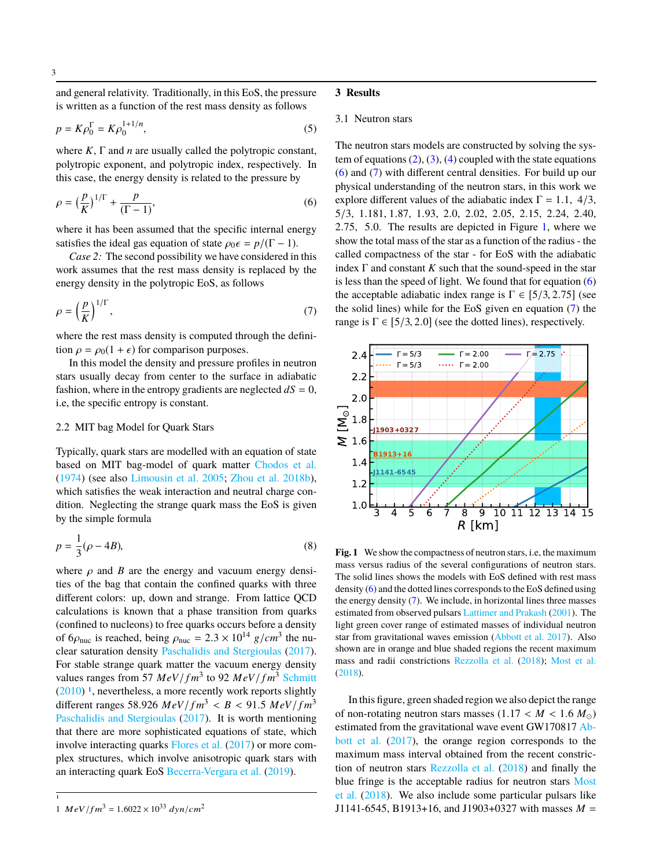and general relativity. Traditionally, in this EoS, the pressure is written as a function of the rest mass density as follows

$$
p = K\rho_0^{\Gamma} = K\rho_0^{1+1/n},
$$
\n(5)

where *K*, Γ and *n* are usually called the polytropic constant, polytropic exponent, and polytropic index, respectively. In this case, the energy density is related to the pressure by

<span id="page-2-2"></span>
$$
\rho = \left(\frac{p}{K}\right)^{1/\Gamma} + \frac{p}{(\Gamma - 1)},\tag{6}
$$

where it has been assumed that the specific internal energy satisfies the ideal gas equation of state  $\rho_0 \epsilon = p/(\Gamma - 1)$ .

*Case 2:* The second possibility we have considered in this work assumes that the rest mass density is replaced by the energy density in the polytropic EoS, as follows

<span id="page-2-3"></span>
$$
\rho = \left(\frac{p}{K}\right)^{1/\Gamma},\tag{7}
$$

where the rest mass density is computed through the definition  $\rho = \rho_0(1 + \epsilon)$  for comparison purposes.

In this model the density and pressure profiles in neutron stars usually decay from center to the surface in adiabatic fashion, where in the entropy gradients are neglected  $dS = 0$ , i.e, the specific entropy is constant.

#### 2.2 MIT bag Model for Quark Stars

Typically, quark stars are modelled with an equation of state based on MIT bag-model of quark matter [Chodos et al.](#page-6-27) [\(1974\)](#page-6-27) (see also [Limousin et al.](#page-6-28) [2005;](#page-6-28) [Zhou et al.](#page-6-15) [2018b\)](#page-6-15), which satisfies the weak interaction and neutral charge condition. Neglecting the strange quark mass the EoS is given by the simple formula

<span id="page-2-5"></span>
$$
p = \frac{1}{3}(\rho - 4B),\tag{8}
$$

where  $\rho$  and  $B$  are the energy and vacuum energy densities of the bag that contain the confined quarks with three different colors: up, down and strange. From lattice QCD calculations is known that a phase transition from quarks (confined to nucleons) to free quarks occurs before a density of 6 $\rho_{\text{nuc}}$  is reached, being  $\rho_{\text{nuc}} = 2.3 \times 10^{14} \text{ g/cm}^3$  the nu-<br>clear saturation density Paschalidis and Stergioulas (2017) clear saturation density [Paschalidis and Stergioulas](#page-6-8) [\(2017\)](#page-6-8). For stable strange quark matter the vacuum energy density values ranges from 57  $MeV/fm^3$  to 92  $MeV/fm^3$  [Schmitt](#page-6-29)  $(2010)$ <sup>[1](#page-2-1)</sup>, nevertheless, a more recently work reports slightly different ranges 58.926  $MeV/fm^3 < B < 91.5 MeV/fm^3$ [Paschalidis and Stergioulas](#page-6-8) [\(2017\)](#page-6-8). It is worth mentioning that there are more sophisticated equations of state, which involve interacting quarks [Flores et al.](#page-6-30) [\(2017\)](#page-6-30) or more complex structures, which involve anisotropic quark stars with an interacting quark EoS [Becerra-Vergara et al.](#page-6-31) [\(2019\)](#page-6-31).

1

#### <span id="page-2-0"></span>**3 Results**

#### 3.1 Neutron stars

The neutron stars models are constructed by solving the system of equations  $(2)$ ,  $(3)$ ,  $(4)$  coupled with the state equations [\(6\)](#page-2-2) and [\(7\)](#page-2-3) with different central densities. For build up our physical understanding of the neutron stars, in this work we explore different values of the adiabatic index  $\Gamma = 1.1, 4/3,$ <sup>5</sup>/3, <sup>1</sup>.181, <sup>1</sup>.87, <sup>1</sup>.93, <sup>2</sup>.0, <sup>2</sup>.02, <sup>2</sup>.05, <sup>2</sup>.15, <sup>2</sup>.24, <sup>2</sup>.40, <sup>2</sup>.75, <sup>5</sup>.0. The results are depicted in Figure [1,](#page-2-4) where we show the total mass of the star as a function of the radius - the called compactness of the star - for EoS with the adiabatic index  $\Gamma$  and constant  $K$  such that the sound-speed in the star is less than the speed of light. We found that for equation  $(6)$ the acceptable adiabatic index range is  $\Gamma \in [5/3, 2.75]$  (see the solid lines) while for the EoS given en equation [\(7\)](#page-2-3) the range is  $\Gamma \in [5/3, 2.0]$  (see the dotted lines), respectively.



<span id="page-2-4"></span>**Fig. 1** We show the compactness of neutron stars, i.e, the maximum mass versus radius of the several configurations of neutron stars. The solid lines shows the models with EoS defined with rest mass density [\(6\)](#page-2-2) and the dotted lines corresponds to the EoS defined using the energy density  $(7)$ . We include, in horizontal lines three masses estimated from observed pulsars [Lattimer and Prakash](#page-6-0) [\(2001\)](#page-6-0). The light green cover range of estimated masses of individual neutron star from gravitational waves emission [\(Abbott et al.](#page-6-1) [2017\)](#page-6-1). Also shown are in orange and blue shaded regions the recent maximum mass and radii constrictions [Rezzolla et al.](#page-6-32) [\(2018\)](#page-6-32); [Most et al.](#page-6-33) [\(2018\)](#page-6-33).

In this figure, green shaded region we also depict the range of non-rotating neutron stars masses  $(1.17 < M < 1.6 M_{\odot})$ estimated from the gravitational wave event GW170817 [Ab](#page-6-1)[bott et al.](#page-6-1) [\(2017\)](#page-6-1), the orange region corresponds to the maximum mass interval obtained from the recent constriction of neutron stars [Rezzolla et al.](#page-6-32) [\(2018\)](#page-6-32) and finally the blue fringe is the acceptable radius for neutron stars [Most](#page-6-33) [et al.](#page-6-33) [\(2018\)](#page-6-33). We also include some particular pulsars like J1141-6545, B1913+16, and J1903+0327 with masses *M* =

<span id="page-2-1"></span><sup>1</sup>  $MeV/fm^3 = 1.6022 \times 10^{33} dyn/cm^2$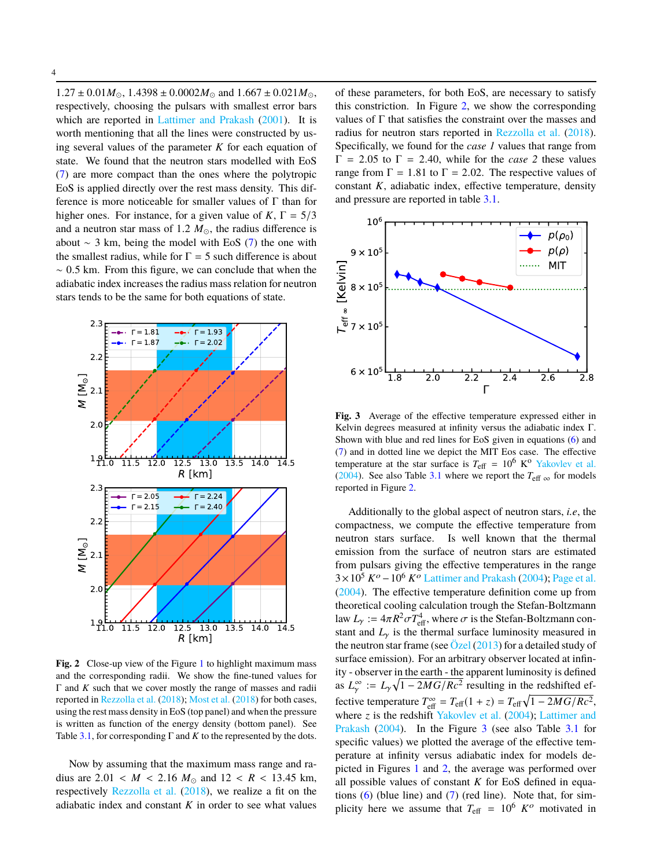$1.27 \pm 0.01 M_{\odot}$ ,  $1.4398 \pm 0.0002 M_{\odot}$  and  $1.667 \pm 0.021 M_{\odot}$ , respectively, choosing the pulsars with smallest error bars which are reported in [Lattimer and Prakash](#page-6-0) [\(2001\)](#page-6-0). It is worth mentioning that all the lines were constructed by using several values of the parameter *K* for each equation of state. We found that the neutron stars modelled with EoS [\(7\)](#page-2-3) are more compact than the ones where the polytropic EoS is applied directly over the rest mass density. This difference is more noticeable for smaller values of  $\Gamma$  than for higher ones. For instance, for a given value of  $K, \Gamma = 5/3$ and a neutron star mass of 1.2  $M_{\odot}$ , the radius difference is about  $\sim$  3 km, being the model with EoS [\(7\)](#page-2-3) the one with the smallest radius, while for  $\Gamma = 5$  such difference is about  $~\sim 0.5$  km. From this figure, we can conclude that when the adiabatic index increases the radius mass relation for neutron stars tends to be the same for both equations of state.



<span id="page-3-1"></span>Fig. 2 Close-up view of the Figure [1](#page-2-4) to highlight maximum mass and the corresponding radii. We show the fine-tuned values for Γ and *K* such that we cover mostly the range of masses and radii reported in [Rezzolla et al.](#page-6-32) [\(2018\)](#page-6-32); [Most et al.](#page-6-33) [\(2018\)](#page-6-33) for both cases, using the rest mass density in EoS (top panel) and when the pressure is written as function of the energy density (bottom panel). See Table [3.1,](#page-3-0) for corresponding  $\Gamma$  and  $K$  to the represented by the dots.

Now by assuming that the maximum mass range and radius are  $2.01 < M < 2.16 M_{\odot}$  and  $12 < R < 13.45$  km, respectively [Rezzolla et al.](#page-6-32) [\(2018\)](#page-6-32), we realize a fit on the adiabatic index and constant  $K$  in order to see what values of these parameters, for both EoS, are necessary to satisfy this constriction. In Figure [2,](#page-3-1) we show the corresponding values of  $\Gamma$  that satisfies the constraint over the masses and radius for neutron stars reported in [Rezzolla et al.](#page-6-32) [\(2018\)](#page-6-32). Specifically, we found for the *case 1* values that range from  $Γ = 2.05$  to  $Γ = 2.40$ , while for the *case 2* these values range from  $\Gamma = 1.81$  to  $\Gamma = 2.02$ . The respective values of constant *K*, adiabatic index, effective temperature, density and pressure are reported in table [3.1.](#page-3-0)



<span id="page-3-0"></span>**Fig. 3** Average of the effective temperature expressed either in Kelvin degrees measured at infinity versus the adiabatic index Γ. Shown with blue and red lines for EoS given in equations [\(6\)](#page-2-2) and [\(7\)](#page-2-3) and in dotted line we depict the MIT Eos case. The effective temperature at the star surface is  $T_{\text{eff}} = 10^6 \text{ K}^{\text{o}}$  [Yakovlev et al.](#page-6-34) [\(2004\)](#page-6-34). See also Table [3.1](#page-3-0) where we report the  $T_{\text{eff}}$  <sub>∞</sub> for models reported in Figure [2.](#page-3-1)

Additionally to the global aspect of neutron stars, *i.e*, the compactness, we compute the effective temperature from neutron stars surface. Is well known that the thermal emission from the surface of neutron stars are estimated from pulsars giving the effective temperatures in the range  $3\times10^5$   $K^o$  –  $10^6$   $K^o$  [Lattimer and Prakash](#page-6-35) [\(2004\)](#page-6-35); [Page et al.](#page-6-36) [\(2004\)](#page-6-36). The effective temperature definition come up from theoretical cooling calculation trough the Stefan-Boltzmann law  $L_y := 4\pi R^2 \sigma T_{{\text{eff}}}^4$ , where  $\sigma$  is the Stefan-Boltzmann con-<br>stant and L is the thermal surface luminosity measured in stant and  $L<sub>y</sub>$  is the thermal surface luminosity measured in the neutron star frame (see  $\ddot{O}$ zel [\(2013\)](#page-6-37) for a detailed study of surface emission). For an arbitrary observer located at infinity - observer in the earth - the apparent luminosity is defined as  $L^{\infty}_{\gamma} := L_{\gamma} \sqrt{1 - 2MG/Rc^2}$  resulting in the redshifted effective temperature  $T_{\text{eff}}^{\infty} = T_{\text{eff}}(1 + z) = T_{\text{eff}}\sqrt{1 - 2MG/Rc^2}$ , where *z* is the redshift [Yakovlev et al.](#page-6-34) [\(2004\)](#page-6-34); [Lattimer and](#page-6-35) [Prakash](#page-6-35) [\(2004\)](#page-6-35). In the Figure [3](#page-3-0) (see also Table [3.1](#page-3-0) for specific values) we plotted the average of the effective temperature at infinity versus adiabatic index for models depicted in Figures [1](#page-2-4) and [2,](#page-3-1) the average was performed over all possible values of constant *K* for EoS defined in equations  $(6)$  (blue line) and  $(7)$  (red line). Note that, for simplicity here we assume that  $T_{\text{eff}} = 10^6$   $K^o$  motivated in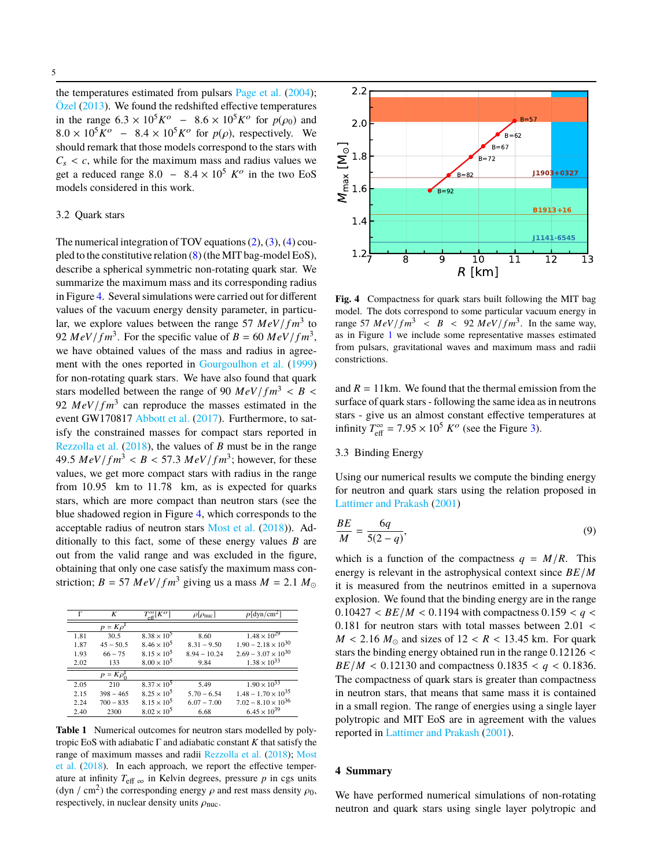the temperatures estimated from pulsars [Page et al.](#page-6-36) [\(2004\)](#page-6-36);  $Özel (2013)$  $Özel (2013)$  $Özel (2013)$ . We found the redshifted effective temperatures in the range  $6.3 \times 10^5 K^{\circ}$  –  $8.6 \times 10^5 K^{\circ}$  for  $p(\rho_0)$  and  $8.0 \times 10^5 K^{\circ}$  –  $8.4 \times 10^5 K^{\circ}$  for  $p(\rho)$  respectively. We  $8.0 \times 10^5 K^o$  –  $8.4 \times 10^5 K^o$  for  $p(\rho)$ , respectively. We should remark that those models correspond to the stars with should remark that those models correspond to the stars with  $C_s < c$ , while for the maximum mass and radius values we get a reduced range  $8.0 - 8.4 \times 10^5$  *K*<sup>o</sup> in the two EoS<br>models considered in this work models considered in this work.

#### 3.2 Quark stars

The numerical integration of TOV equations  $(2)$ ,  $(3)$ ,  $(4)$  coupled to the constitutive relation [\(8\)](#page-2-5) (the MIT bag-model EoS), describe a spherical symmetric non-rotating quark star. We summarize the maximum mass and its corresponding radius in Figure [4.](#page-4-1) Several simulations were carried out for different values of the vacuum energy density parameter, in particular, we explore values between the range 57  $MeV/fm^3$  to 92  $MeV/fm^3$ . For the specific value of  $B = 60 \ MeV/fm^3$ , we have obtained values of the mass and radius in agreement with the ones reported in [Gourgoulhon et al.](#page-6-38) [\(1999\)](#page-6-38) for non-rotating quark stars. We have also found that quark stars modelled between the range of 90  $MeV/fm^3 < B$ 92  $MeV/fm<sup>3</sup>$  can reproduce the masses estimated in the event GW170817 [Abbott et al.](#page-6-1) [\(2017\)](#page-6-1). Furthermore, to satisfy the constrained masses for compact stars reported in [Rezzolla et al.](#page-6-32) [\(2018\)](#page-6-32), the values of *B* must be in the range 49.5  $MeV/fm^3 < B < 57.3 MeV/fm^3$ ; however, for these<br>values, we get more compact stars with radius in the range values, we get more compact stars with radius in the range from <sup>10</sup>.95 km to <sup>11</sup>.78 km, as is expected for quarks stars, which are more compact than neutron stars (see the blue shadowed region in Figure [4,](#page-4-1) which corresponds to the acceptable radius of neutron stars [Most et al.](#page-6-33) [\(2018\)](#page-6-33)). Additionally to this fact, some of these energy values *B* are out from the valid range and was excluded in the figure, obtaining that only one case satisfy the maximum mass constriction;  $B = 57 \ MeV/fm^3$  giving us a mass  $M = 2.1 M_{\odot}$ 

| г    | K                     | $T_{\rm eff}^{\infty}[K^O]$ | $\rho[\rho_{\text{nuc}}]$ | $p$ [dyn/cm <sup>2</sup> ]   |
|------|-----------------------|-----------------------------|---------------------------|------------------------------|
|      | $p = K \rho^{\Gamma}$ |                             |                           |                              |
| 1.81 | 30.5                  | $8.38 \times 10^{5}$        | 8.60                      | $1.48 \times 10^{29}$        |
| 1.87 | $45 - 50.5$           | $8.46 \times 10^5$          | $8.31 - 9.50$             | $1.90 - 2.18 \times 10^{30}$ |
| 1.93 | $66 - 75$             | $8.15 \times 10^5$          | $8.94 - 10.24$            | $2.69 - 3.07 \times 10^{30}$ |
| 2.02 | 133                   | $8.00 \times 10^5$          | 9.84                      | $1.38 \times 10^{33}$        |
|      | $p = K \rho_0^1$      |                             |                           |                              |
| 2.05 | 210                   | $8.37 \times 10^{5}$        | 5.49                      | $1.90 \times 10^{33}$        |
| 2.15 | $398 - 465$           | $8.25 \times 10^5$          | $5.70 - 6.54$             | $1.48 - 1.70 \times 10^{35}$ |
| 2.24 | $700 - 835$           | $8.15 \times 10^5$          | $6.07 - 7.00$             | $7.02 - 8.10 \times 10^{36}$ |
| 2.40 | 2300                  | $8.02 \times 10^{5}$        | 6.68                      | $6.45 \times 10^{39}$        |
|      |                       |                             |                           |                              |

**Table 1** Numerical outcomes for neutron stars modelled by polytropic EoS with adiabatic Γ and adiabatic constant *K* that satisfy the range of maximum masses and radii [Rezzolla et al.](#page-6-32) [\(2018\)](#page-6-32); [Most](#page-6-33) [et al.](#page-6-33) [\(2018\)](#page-6-33). In each approach, we report the effective temperature at infinity  $T_{\text{eff}} \propto \text{in}$  Kelvin degrees, pressure *p* in cgs units (dyn / cm<sup>2</sup>) the corresponding energy  $\rho$  and rest mass density  $\rho_0$ , respectively, in nuclear density units  $\rho_{\text{nuc}}$ .



<span id="page-4-1"></span>**Fig. 4** Compactness for quark stars built following the MIT bag model. The dots correspond to some particular vacuum energy in range 57  $MeV/fm^3 < B < 92 MeV/fm^3$ . In the same way, as in Figure 1 we include some representative masses estimated as in Figure [1](#page-2-4) we include some representative masses estimated from pulsars, gravitational waves and maximum mass and radii constrictions.

and  $R = 11$  km. We found that the thermal emission from the surface of quark stars - following the same idea as in neutrons stars - give us an almost constant effective temperatures at infinity  $T_{\text{eff}}^{\infty} = 7.95 \times 10^5 K^o$  (see the Figure [3\)](#page-3-0).

## 3.3 Binding Energy

Using our numerical results we compute the binding energy for neutron and quark stars using the relation proposed in [Lattimer and Prakash](#page-6-0) [\(2001\)](#page-6-0)

$$
\frac{BE}{M} = \frac{6q}{5(2-q)},\tag{9}
$$

which is a function of the compactness  $q = M/R$ . This energy is relevant in the astrophysical context since *BE*/*M* it is measured from the neutrinos emitted in a supernova explosion. We found that the binding energy are in the range  $0.10427 < BE/M < 0.1194$  with compactness  $0.159 < q <$ <sup>0</sup>.<sup>181</sup> for neutron stars with total masses between <sup>2</sup>.<sup>01</sup> <  $M < 2.16 M_{\odot}$  and sizes of  $12 < R < 13.45$  km. For quark stars the binding energy obtained run in the range <sup>0</sup>.<sup>12126</sup> < *BE*/*M* < 0.12130 and compactness 0.1835 <  $q$  < 0.1836. The compactness of quark stars is greater than compactness in neutron stars, that means that same mass it is contained in a small region. The range of energies using a single layer polytropic and MIT EoS are in agreement with the values reported in [Lattimer and Prakash](#page-6-0) [\(2001\)](#page-6-0).

### <span id="page-4-0"></span>**4 Summary**

We have performed numerical simulations of non-rotating neutron and quark stars using single layer polytropic and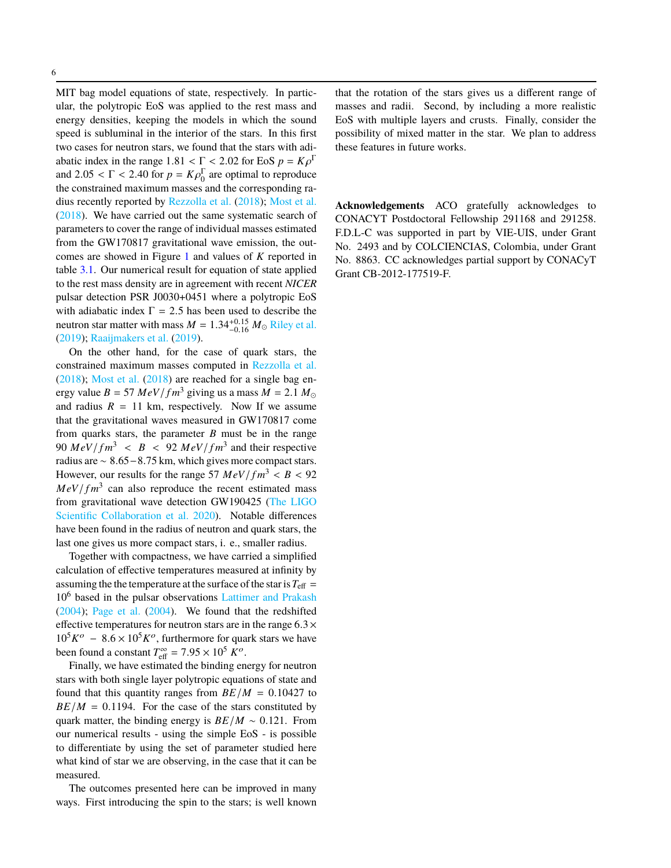MIT bag model equations of state, respectively. In particular, the polytropic EoS was applied to the rest mass and energy densities, keeping the models in which the sound speed is subluminal in the interior of the stars. In this first two cases for neutron stars, we found that the stars with adiabatic index in the range  $1.81 < \Gamma < 2.02$  for EoS  $p = K\rho^{\Gamma}$ <br>and  $2.05 < \Gamma < 2.40$  for  $p = K\rho^{\Gamma}$  are optimal to reproduce and  $2.05 < \Gamma < 2.40$  for  $p = K \rho_0^{\Gamma}$  are optimal to reproduce the contrained maximum masses and the corresponding ray the constrained maximum masses and the corresponding radius recently reported by [Rezzolla et al.](#page-6-32) [\(2018\)](#page-6-32); [Most et al.](#page-6-33) [\(2018\)](#page-6-33). We have carried out the same systematic search of parameters to cover the range of individual masses estimated from the GW170817 gravitational wave emission, the outcomes are showed in Figure [1](#page-2-4) and values of *K* reported in table [3.1.](#page-3-0) Our numerical result for equation of state applied to the rest mass density are in agreement with recent *NICER* pulsar detection PSR J0030+0451 where a polytropic EoS with adiabatic index  $\Gamma = 2.5$  has been used to describe the neutron star matter with mass  $M = 1.34^{+0.15}_{-0.16} M_{\odot}$  [Riley et al.](#page-6-39)<br>(2019): Raajimakers et al. (2019) [\(2019\)](#page-6-39); [Raaijmakers et al.](#page-6-40) [\(2019\)](#page-6-40).

On the other hand, for the case of quark stars, the constrained maximum masses computed in [Rezzolla et al.](#page-6-32) [\(2018\)](#page-6-32); [Most et al.](#page-6-33) [\(2018\)](#page-6-33) are reached for a single bag energy value  $B = 57 \ MeV/fm^3$  giving us a mass  $M = 2.1 M_{\odot}$ and radius  $R = 11$  km, respectively. Now If we assume that the gravitational waves measured in GW170817 come from quarks stars, the parameter *B* must be in the range 90  $MeV/fm^3 < B < 92 MeV/fm^3$  and their respective<br>radius are  $\approx 8.65-8.75$  km, which gives more compact stars. radius are <sup>∼</sup> <sup>8</sup>.65−8.75 km, which gives more compact stars. However, our results for the range 57  $MeV/fm^3 < B < 92$  $MeV/fm<sup>3</sup>$  can also reproduce the recent estimated mass from gravitational wave detection GW190425 [\(The LIGO](#page-6-2) [Scientific Collaboration et al.](#page-6-2) [2020\)](#page-6-2). Notable differences have been found in the radius of neutron and quark stars, the last one gives us more compact stars, i. e., smaller radius.

Together with compactness, we have carried a simplified calculation of effective temperatures measured at infinity by assuming the the temperature at the surface of the star is  $T_{\text{eff}} =$ 10<sup>6</sup> based in the pulsar observations [Lattimer and Prakash](#page-6-35) [\(2004\)](#page-6-35); [Page et al.](#page-6-36) [\(2004\)](#page-6-36). We found that the redshifted effective temperatures for neutron stars are in the range  $6.3\times$  $10^5 K^{\circ}$  − 8.6 ×  $10^5 K^{\circ}$ , furthermore for quark stars we have<br>been found a constant  $T^{\infty}$  − 7.05 × 10<sup>5</sup> K<sup>o</sup> been found a constant  $T_{\text{eff}}^{\infty} = 7.95 \times 10^5 K^o$ .<br>Finally, we have estimated the binding and

Finally, we have estimated the binding energy for neutron stars with both single layer polytropic equations of state and found that this quantity ranges from  $BE/M = 0.10427$  to  $BE/M = 0.1194$ . For the case of the stars constituted by quark matter, the binding energy is  $BE/M \sim 0.121$ . From our numerical results - using the simple EoS - is possible to differentiate by using the set of parameter studied here what kind of star we are observing, in the case that it can be measured.

The outcomes presented here can be improved in many ways. First introducing the spin to the stars; is well known that the rotation of the stars gives us a different range of masses and radii. Second, by including a more realistic EoS with multiple layers and crusts. Finally, consider the possibility of mixed matter in the star. We plan to address these features in future works.

**Acknowledgements** ACO gratefully acknowledges to CONACYT Postdoctoral Fellowship 291168 and 291258. F.D.L-C was supported in part by VIE-UIS, under Grant No. 2493 and by COLCIENCIAS, Colombia, under Grant No. 8863. CC acknowledges partial support by CONACyT Grant CB-2012-177519-F.